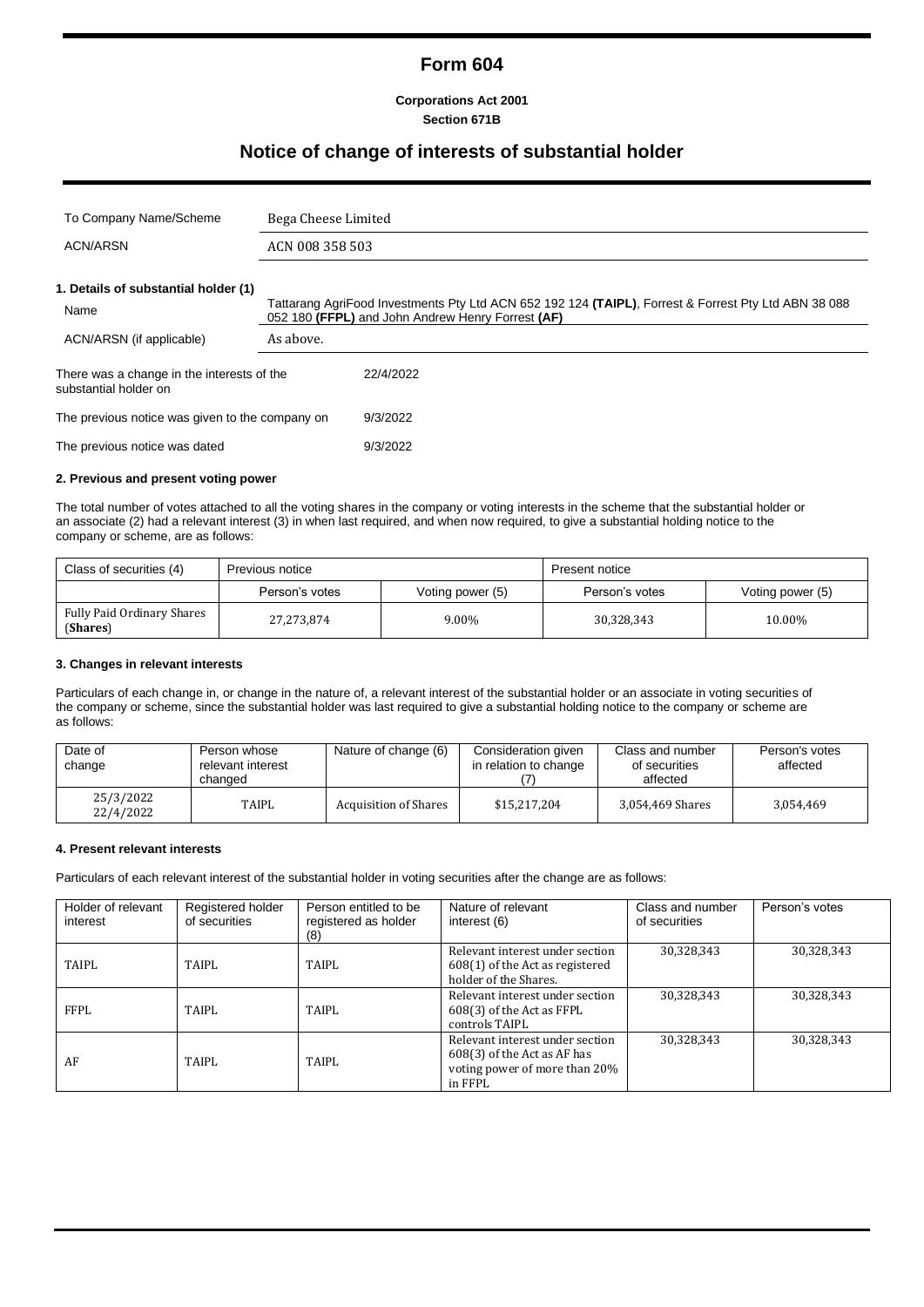# **Form 604**

**Corporations Act 2001 Section 671B**

## **Notice of change of interests of substantial holder**

| To Company Name/Scheme                                              | Bega Cheese Limited |                                                                                                                                                           |  |
|---------------------------------------------------------------------|---------------------|-----------------------------------------------------------------------------------------------------------------------------------------------------------|--|
| <b>ACN/ARSN</b>                                                     | ACN 008 358 503     |                                                                                                                                                           |  |
| 1. Details of substantial holder (1)<br>Name                        |                     | Tattarang AgriFood Investments Pty Ltd ACN 652 192 124 (TAIPL), Forrest & Forrest Pty Ltd ABN 38 088<br>052 180 (FFPL) and John Andrew Henry Forrest (AF) |  |
| ACN/ARSN (if applicable)                                            | As above.           |                                                                                                                                                           |  |
| There was a change in the interests of the<br>substantial holder on |                     | 22/4/2022                                                                                                                                                 |  |
| The previous notice was given to the company on                     |                     | 9/3/2022                                                                                                                                                  |  |
| The previous notice was dated                                       |                     | 9/3/2022                                                                                                                                                  |  |

#### **2. Previous and present voting power**

The total number of votes attached to all the voting shares in the company or voting interests in the scheme that the substantial holder or an associate (2) had a relevant interest (3) in when last required, and when now required, to give a substantial holding notice to the company or scheme, are as follows:

| Class of securities (4)                | Previous notice |                  | <b>Present notice</b> |                  |
|----------------------------------------|-----------------|------------------|-----------------------|------------------|
|                                        | Person's votes  | Voting power (5) | Person's votes        | Voting power (5) |
| Fully Paid Ordinary Shares<br>(Shares) | 27,273,874      | 9.00%            | 30,328,343            | 10.00%           |

#### **3. Changes in relevant interests**

Particulars of each change in, or change in the nature of, a relevant interest of the substantial holder or an associate in voting securities of the company or scheme, since the substantial holder was last required to give a substantial holding notice to the company or scheme are as follows:

| Date of<br>change      | Person whose<br>relevant interest<br>changed | Nature of change (6)         | Consideration given<br>in relation to change | Class and number<br>of securities<br>affected | Person's votes<br>affected |
|------------------------|----------------------------------------------|------------------------------|----------------------------------------------|-----------------------------------------------|----------------------------|
| 25/3/2022<br>22/4/2022 | <b>TAIPL</b>                                 | <b>Acquisition of Shares</b> | \$15,217,204                                 | 3,054,469 Shares                              | 3.054.469                  |

#### **4. Present relevant interests**

Particulars of each relevant interest of the substantial holder in voting securities after the change are as follows:

| Holder of relevant<br>interest | Registered holder<br>of securities | Person entitled to be<br>registered as holder<br>(8) | Nature of relevant<br>interest (6)                                                                         | Class and number<br>of securities | Person's votes |
|--------------------------------|------------------------------------|------------------------------------------------------|------------------------------------------------------------------------------------------------------------|-----------------------------------|----------------|
| TAIPL                          | TAIPL                              | TAIPL                                                | Relevant interest under section<br>608(1) of the Act as registered<br>holder of the Shares.                | 30,328,343                        | 30,328,343     |
| FFPI.                          | TAIPL                              | TAIPL                                                | Relevant interest under section<br>608(3) of the Act as FFPL<br>controls TAIPL                             | 30,328,343                        | 30,328,343     |
| AF                             | TAIPL                              | TAIPL                                                | Relevant interest under section<br>608(3) of the Act as AF has<br>voting power of more than 20%<br>in FFPL | 30,328,343                        | 30,328,343     |